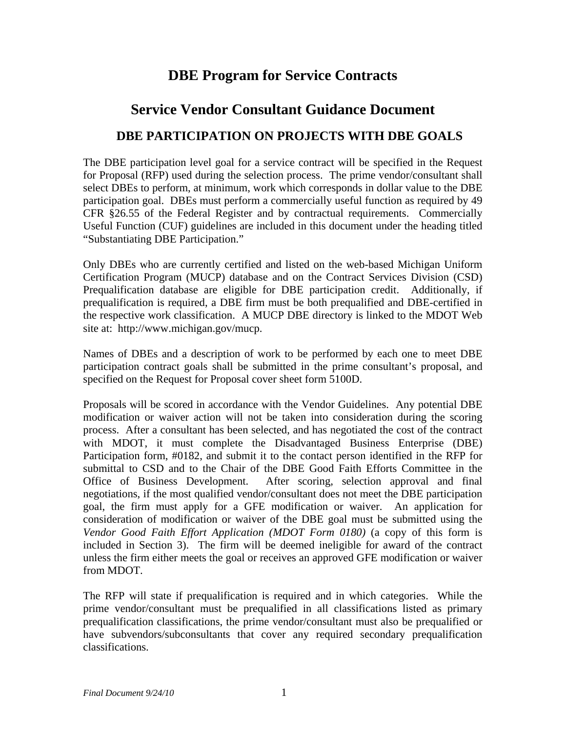# **DBE Program for Service Contracts**

# **Service Vendor Consultant Guidance Document**

# **DBE PARTICIPATION ON PROJECTS WITH DBE GOALS**

The DBE participation level goal for a service contract will be specified in the Request for Proposal (RFP) used during the selection process. The prime vendor/consultant shall select DBEs to perform, at minimum, work which corresponds in dollar value to the DBE participation goal. DBEs must perform a commercially useful function as required by 49 CFR §26.55 of the Federal Register and by contractual requirements. Commercially Useful Function (CUF) guidelines are included in this document under the heading titled "Substantiating DBE Participation."

Only DBEs who are currently certified and listed on the web-based Michigan Uniform Certification Program (MUCP) database and on the Contract Services Division (CSD) Prequalification database are eligible for DBE participation credit. Additionally, if prequalification is required, a DBE firm must be both prequalified and DBE-certified in the respective work classification. A MUCP DBE directory is linked to the MDOT Web site at: http://www.michigan.gov/mucp.

Names of DBEs and a description of work to be performed by each one to meet DBE participation contract goals shall be submitted in the prime consultant's proposal, and specified on the Request for Proposal cover sheet form 5100D.

 Proposals will be scored in accordance with the Vendor Guidelines. Any potential DBE modification or waiver action will not be taken into consideration during the scoring process. After a consultant has been selected, and has negotiated the cost of the contract with MDOT, it must complete the Disadvantaged Business Enterprise (DBE) Participation form, #0182, and submit it to the contact person identified in the RFP for submittal to CSD and to the Chair of the DBE Good Faith Efforts Committee in the Office of Business Development. After scoring, selection approval and final negotiations, if the most qualified vendor/consultant does not meet the DBE participation goal, the firm must apply for a GFE modification or waiver. An application for consideration of modification or waiver of the DBE goal must be submitted using the *Vendor Good Faith Effort Application (MDOT Form 0180)* (a copy of this form is included in Section 3). The firm will be deemed ineligible for award of the contract unless the firm either meets the goal or receives an approved GFE modification or waiver from MDOT.

The RFP will state if prequalification is required and in which categories. While the prime vendor/consultant must be prequalified in all classifications listed as primary prequalification classifications, the prime vendor/consultant must also be prequalified or have subvendors/subconsultants that cover any required secondary prequalification classifications.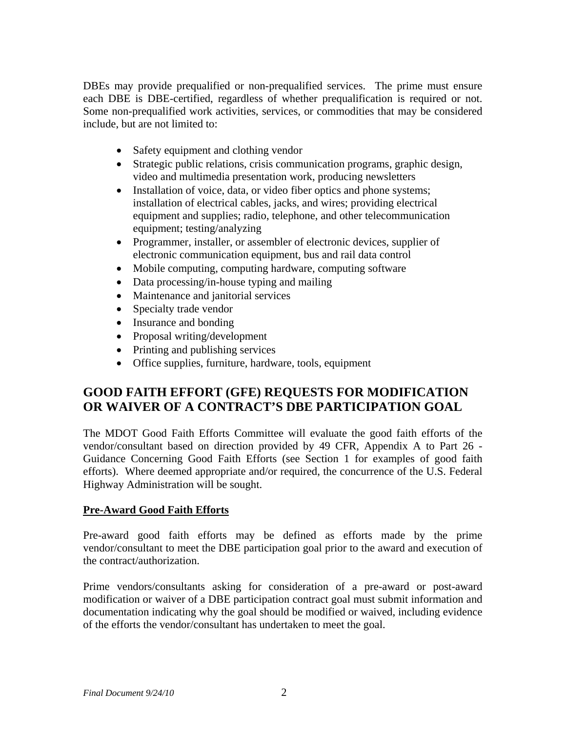DBEs may provide prequalified or non-prequalified services. The prime must ensure each DBE is DBE-certified, regardless of whether prequalification is required or not. Some non-prequalified work activities, services, or commodities that may be considered include, but are not limited to:

- Safety equipment and clothing vendor
- Strategic public relations, crisis communication programs, graphic design, video and multimedia presentation work, producing newsletters
- Installation of voice, data, or video fiber optics and phone systems; installation of electrical cables, jacks, and wires; providing electrical equipment and supplies; radio, telephone, and other telecommunication equipment; testing/analyzing
- Programmer, installer, or assembler of electronic devices, supplier of electronic communication equipment, bus and rail data control
- Mobile computing, computing hardware, computing software
- Data processing/in-house typing and mailing
- Maintenance and janitorial services
- Specialty trade vendor
- Insurance and bonding
- Proposal writing/development
- Printing and publishing services
- Office supplies, furniture, hardware, tools, equipment

# **GOOD FAITH EFFORT (GFE) REQUESTS FOR MODIFICATION OR WAIVER OF A CONTRACT'S DBE PARTICIPATION GOAL**

The MDOT Good Faith Efforts Committee will evaluate the good faith efforts of the vendor/consultant based on direction provided by 49 CFR, Appendix A to Part 26 - Guidance Concerning Good Faith Efforts (see Section 1 for examples of good faith efforts). Where deemed appropriate and/or required, the concurrence of the U.S. Federal Highway Administration will be sought.

### **Pre-Award Good Faith Efforts**

Pre-award good faith efforts may be defined as efforts made by the prime vendor/consultant to meet the DBE participation goal prior to the award and execution of the contract/authorization.

Prime vendors/consultants asking for consideration of a pre-award or post-award modification or waiver of a DBE participation contract goal must submit information and documentation indicating why the goal should be modified or waived, including evidence of the efforts the vendor/consultant has undertaken to meet the goal.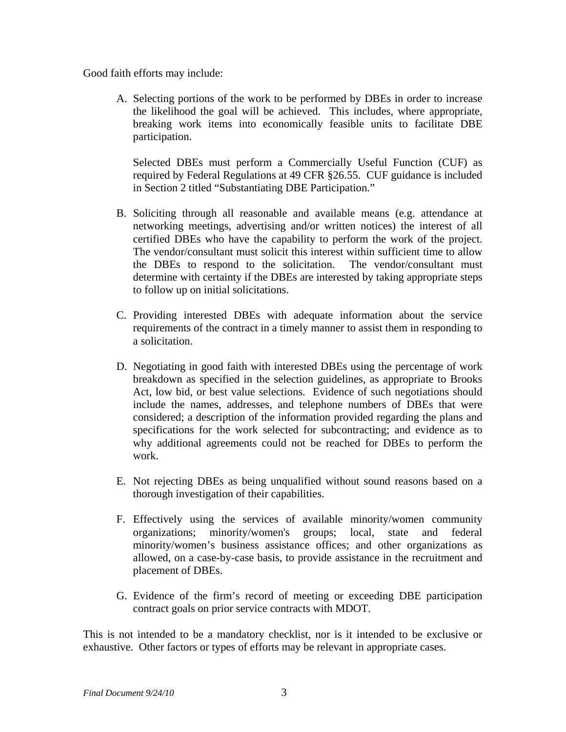Good faith efforts may include:

A. Selecting portions of the work to be performed by DBEs in order to increase the likelihood the goal will be achieved. This includes, where appropriate, breaking work items into economically feasible units to facilitate DBE participation.

Selected DBEs must perform a Commercially Useful Function (CUF) as required by Federal Regulations at 49 CFR §26.55. CUF guidance is included in Section 2 titled "Substantiating DBE Participation."

- B. Soliciting through all reasonable and available means (e.g. attendance at networking meetings, advertising and/or written notices) the interest of all certified DBEs who have the capability to perform the work of the project. The vendor/consultant must solicit this interest within sufficient time to allow the DBEs to respond to the solicitation. The vendor/consultant must determine with certainty if the DBEs are interested by taking appropriate steps to follow up on initial solicitations.
- C. Providing interested DBEs with adequate information about the service requirements of the contract in a timely manner to assist them in responding to a solicitation.
- D. Negotiating in good faith with interested DBEs using the percentage of work breakdown as specified in the selection guidelines, as appropriate to Brooks Act, low bid, or best value selections. Evidence of such negotiations should include the names, addresses, and telephone numbers of DBEs that were considered; a description of the information provided regarding the plans and specifications for the work selected for subcontracting; and evidence as to why additional agreements could not be reached for DBEs to perform the work.
- E. Not rejecting DBEs as being unqualified without sound reasons based on a thorough investigation of their capabilities.
- F. Effectively using the services of available minority/women community organizations; minority/women's groups; local, state and federal minority/women's business assistance offices; and other organizations as allowed, on a case-by-case basis, to provide assistance in the recruitment and placement of DBEs.
- G. Evidence of the firm's record of meeting or exceeding DBE participation contract goals on prior service contracts with MDOT.

This is not intended to be a mandatory checklist, nor is it intended to be exclusive or exhaustive. Other factors or types of efforts may be relevant in appropriate cases.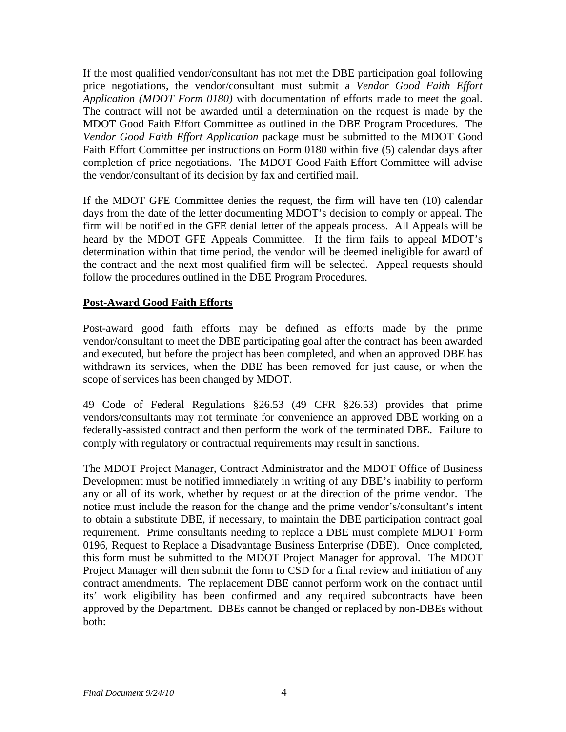If the most qualified vendor/consultant has not met the DBE participation goal following price negotiations, the vendor/consultant must submit a *Vendor Good Faith Effort Application (MDOT Form 0180)* with documentation of efforts made to meet the goal. The contract will not be awarded until a determination on the request is made by the MDOT Good Faith Effort Committee as outlined in the DBE Program Procedures. The *Vendor Good Faith Effort Application* package must be submitted to the MDOT Good Faith Effort Committee per instructions on Form 0180 within five (5) calendar days after completion of price negotiations. The MDOT Good Faith Effort Committee will advise the vendor/consultant of its decision by fax and certified mail.

If the MDOT GFE Committee denies the request, the firm will have ten (10) calendar days from the date of the letter documenting MDOT's decision to comply or appeal. The firm will be notified in the GFE denial letter of the appeals process. All Appeals will be heard by the MDOT GFE Appeals Committee. If the firm fails to appeal MDOT's determination within that time period, the vendor will be deemed ineligible for award of the contract and the next most qualified firm will be selected. Appeal requests should follow the procedures outlined in the DBE Program Procedures.

### **Post-Award Good Faith Efforts**

Post-award good faith efforts may be defined as efforts made by the prime vendor/consultant to meet the DBE participating goal after the contract has been awarded and executed, but before the project has been completed, and when an approved DBE has withdrawn its services, when the DBE has been removed for just cause, or when the scope of services has been changed by MDOT.

49 Code of Federal Regulations §26.53 (49 CFR §26.53) provides that prime vendors/consultants may not terminate for convenience an approved DBE working on a federally-assisted contract and then perform the work of the terminated DBE. Failure to comply with regulatory or contractual requirements may result in sanctions.

The MDOT Project Manager, Contract Administrator and the MDOT Office of Business Development must be notified immediately in writing of any DBE's inability to perform any or all of its work, whether by request or at the direction of the prime vendor. The notice must include the reason for the change and the prime vendor's/consultant's intent to obtain a substitute DBE, if necessary, to maintain the DBE participation contract goal requirement. Prime consultants needing to replace a DBE must complete MDOT Form 0196, Request to Replace a Disadvantage Business Enterprise (DBE). Once completed, this form must be submitted to the MDOT Project Manager for approval. The MDOT Project Manager will then submit the form to CSD for a final review and initiation of any contract amendments. The replacement DBE cannot perform work on the contract until its' work eligibility has been confirmed and any required subcontracts have been approved by the Department. DBEs cannot be changed or replaced by non-DBEs without both: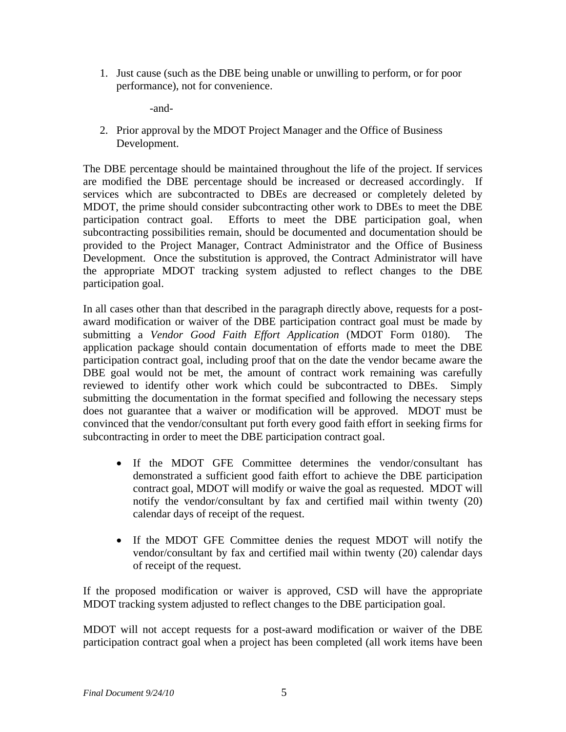1. Just cause (such as the DBE being unable or unwilling to perform, or for poor performance), not for convenience.

-and-

2. Prior approval by the MDOT Project Manager and the Office of Business Development.

The DBE percentage should be maintained throughout the life of the project. If services are modified the DBE percentage should be increased or decreased accordingly. If services which are subcontracted to DBEs are decreased or completely deleted by MDOT, the prime should consider subcontracting other work to DBEs to meet the DBE participation contract goal. Efforts to meet the DBE participation goal, when subcontracting possibilities remain, should be documented and documentation should be provided to the Project Manager, Contract Administrator and the Office of Business Development. Once the substitution is approved, the Contract Administrator will have the appropriate MDOT tracking system adjusted to reflect changes to the DBE participation goal.

In all cases other than that described in the paragraph directly above, requests for a postaward modification or waiver of the DBE participation contract goal must be made by submitting a *Vendor Good Faith Effort Application* (MDOT Form 0180). The application package should contain documentation of efforts made to meet the DBE participation contract goal, including proof that on the date the vendor became aware the DBE goal would not be met, the amount of contract work remaining was carefully reviewed to identify other work which could be subcontracted to DBEs. Simply submitting the documentation in the format specified and following the necessary steps does not guarantee that a waiver or modification will be approved. MDOT must be convinced that the vendor/consultant put forth every good faith effort in seeking firms for subcontracting in order to meet the DBE participation contract goal.

- If the MDOT GFE Committee determines the vendor/consultant has demonstrated a sufficient good faith effort to achieve the DBE participation contract goal, MDOT will modify or waive the goal as requested. MDOT will notify the vendor/consultant by fax and certified mail within twenty (20) calendar days of receipt of the request.
- If the MDOT GFE Committee denies the request MDOT will notify the vendor/consultant by fax and certified mail within twenty (20) calendar days of receipt of the request.

If the proposed modification or waiver is approved, CSD will have the appropriate MDOT tracking system adjusted to reflect changes to the DBE participation goal.

MDOT will not accept requests for a post-award modification or waiver of the DBE participation contract goal when a project has been completed (all work items have been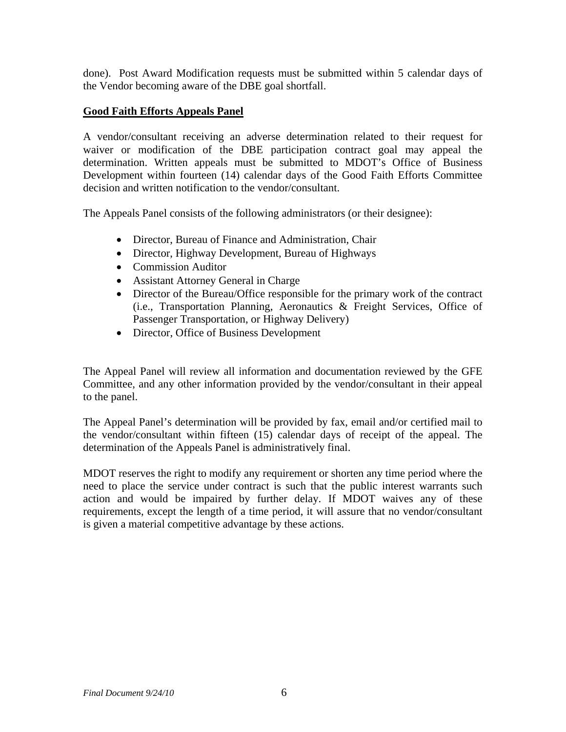done). Post Award Modification requests must be submitted within 5 calendar days of the Vendor becoming aware of the DBE goal shortfall.

### **Good Faith Efforts Appeals Panel**

A vendor/consultant receiving an adverse determination related to their request for waiver or modification of the DBE participation contract goal may appeal the determination. Written appeals must be submitted to MDOT's Office of Business Development within fourteen (14) calendar days of the Good Faith Efforts Committee decision and written notification to the vendor/consultant.

The Appeals Panel consists of the following administrators (or their designee):

- Director, Bureau of Finance and Administration, Chair
- Director, Highway Development, Bureau of Highways
- Commission Auditor
- Assistant Attorney General in Charge
- Director of the Bureau/Office responsible for the primary work of the contract (i.e., Transportation Planning, Aeronautics & Freight Services, Office of Passenger Transportation, or Highway Delivery)
- Director, Office of Business Development

The Appeal Panel will review all information and documentation reviewed by the GFE Committee, and any other information provided by the vendor/consultant in their appeal to the panel.

The Appeal Panel's determination will be provided by fax, email and/or certified mail to the vendor/consultant within fifteen (15) calendar days of receipt of the appeal. The determination of the Appeals Panel is administratively final.

MDOT reserves the right to modify any requirement or shorten any time period where the need to place the service under contract is such that the public interest warrants such action and would be impaired by further delay. If MDOT waives any of these requirements, except the length of a time period, it will assure that no vendor/consultant is given a material competitive advantage by these actions.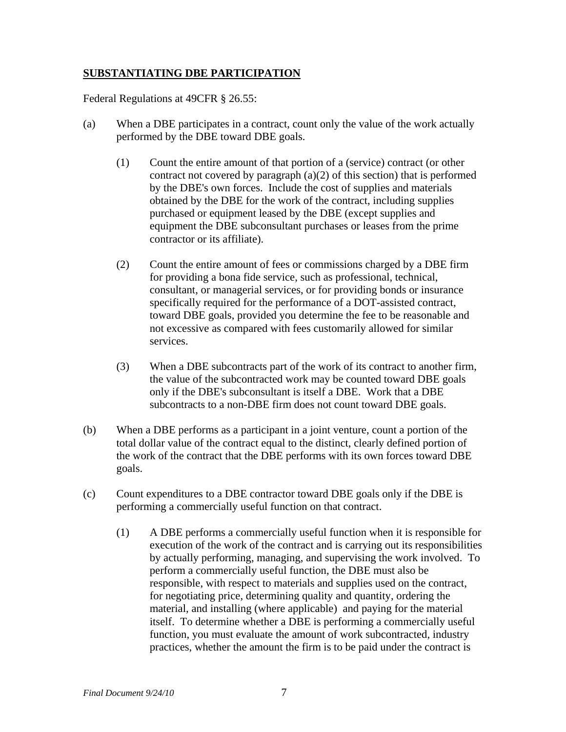## **SUBSTANTIATING DBE PARTICIPATION**

Federal Regulations at 49CFR § 26.55:

- (a) When a DBE participates in a contract, count only the value of the work actually performed by the DBE toward DBE goals.
	- (1) Count the entire amount of that portion of a (service) contract (or other contract not covered by paragraph (a)(2) of this section) that is performed by the DBE's own forces. Include the cost of supplies and materials obtained by the DBE for the work of the contract, including supplies purchased or equipment leased by the DBE (except supplies and equipment the DBE subconsultant purchases or leases from the prime contractor or its affiliate).
	- (2) Count the entire amount of fees or commissions charged by a DBE firm for providing a bona fide service, such as professional, technical, consultant, or managerial services, or for providing bonds or insurance specifically required for the performance of a DOT-assisted contract, toward DBE goals, provided you determine the fee to be reasonable and not excessive as compared with fees customarily allowed for similar services.
	- (3) When a DBE subcontracts part of the work of its contract to another firm, the value of the subcontracted work may be counted toward DBE goals only if the DBE's subconsultant is itself a DBE. Work that a DBE subcontracts to a non-DBE firm does not count toward DBE goals.
- (b) When a DBE performs as a participant in a joint venture, count a portion of the total dollar value of the contract equal to the distinct, clearly defined portion of the work of the contract that the DBE performs with its own forces toward DBE goals.
- (c) Count expenditures to a DBE contractor toward DBE goals only if the DBE is performing a commercially useful function on that contract.
	- (1) A DBE performs a commercially useful function when it is responsible for execution of the work of the contract and is carrying out its responsibilities by actually performing, managing, and supervising the work involved. To perform a commercially useful function, the DBE must also be responsible, with respect to materials and supplies used on the contract, for negotiating price, determining quality and quantity, ordering the material, and installing (where applicable) and paying for the material itself. To determine whether a DBE is performing a commercially useful function, you must evaluate the amount of work subcontracted, industry practices, whether the amount the firm is to be paid under the contract is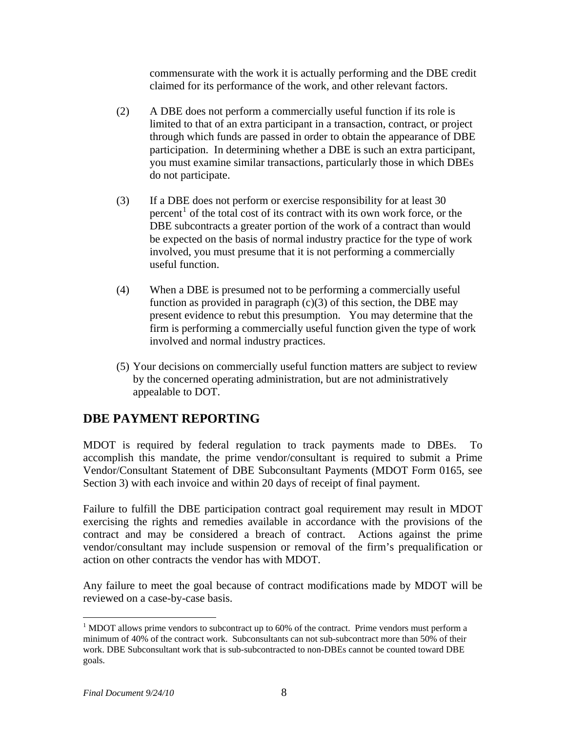commensurate with the work it is actually performing and the DBE credit claimed for its performance of the work, and other relevant factors.

- (2) A DBE does not perform a commercially useful function if its role is limited to that of an extra participant in a transaction, contract, or project through which funds are passed in order to obtain the appearance of DBE participation. In determining whether a DBE is such an extra participant, you must examine similar transactions, particularly those in which DBEs do not participate.
- (3) If a DBE does not perform or exercise responsibility for at least 30 percent<sup>[1](#page-7-0)</sup> of the total cost of its contract with its own work force, or the DBE subcontracts a greater portion of the work of a contract than would be expected on the basis of normal industry practice for the type of work involved, you must presume that it is not performing a commercially useful function.
- (4) When a DBE is presumed not to be performing a commercially useful function as provided in paragraph  $(c)(3)$  of this section, the DBE may present evidence to rebut this presumption. You may determine that the firm is performing a commercially useful function given the type of work involved and normal industry practices.
- (5) Your decisions on commercially useful function matters are subject to review by the concerned operating administration, but are not administratively appealable to DOT.

# **DBE PAYMENT REPORTING**

MDOT is required by federal regulation to track payments made to DBEs. To accomplish this mandate, the prime vendor/consultant is required to submit a Prime Vendor/Consultant Statement of DBE Subconsultant Payments (MDOT Form 0165, see Section 3) with each invoice and within 20 days of receipt of final payment.

Failure to fulfill the DBE participation contract goal requirement may result in MDOT exercising the rights and remedies available in accordance with the provisions of the contract and may be considered a breach of contract. Actions against the prime vendor/consultant may include suspension or removal of the firm's prequalification or action on other contracts the vendor has with MDOT.

Any failure to meet the goal because of contract modifications made by MDOT will be reviewed on a case-by-case basis.

 $\overline{a}$ 

<span id="page-7-0"></span> $1$  MDOT allows prime vendors to subcontract up to 60% of the contract. Prime vendors must perform a minimum of 40% of the contract work. Subconsultants can not sub-subcontract more than 50% of their work. DBE Subconsultant work that is sub-subcontracted to non-DBEs cannot be counted toward DBE goals.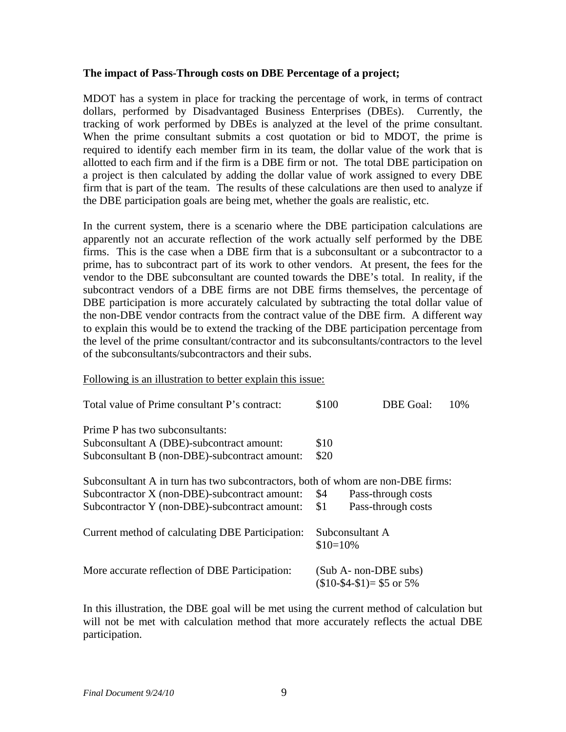### **The impact of Pass-Through costs on DBE Percentage of a project;**

MDOT has a system in place for tracking the percentage of work, in terms of contract dollars, performed by Disadvantaged Business Enterprises (DBEs). Currently, the tracking of work performed by DBEs is analyzed at the level of the prime consultant. When the prime consultant submits a cost quotation or bid to MDOT, the prime is required to identify each member firm in its team, the dollar value of the work that is allotted to each firm and if the firm is a DBE firm or not. The total DBE participation on a project is then calculated by adding the dollar value of work assigned to every DBE firm that is part of the team. The results of these calculations are then used to analyze if the DBE participation goals are being met, whether the goals are realistic, etc.

In the current system, there is a scenario where the DBE participation calculations are apparently not an accurate reflection of the work actually self performed by the DBE firms. This is the case when a DBE firm that is a subconsultant or a subcontractor to a prime, has to subcontract part of its work to other vendors. At present, the fees for the vendor to the DBE subconsultant are counted towards the DBE's total. In reality, if the subcontract vendors of a DBE firms are not DBE firms themselves, the percentage of DBE participation is more accurately calculated by subtracting the total dollar value of the non-DBE vendor contracts from the contract value of the DBE firm. A different way to explain this would be to extend the tracking of the DBE participation percentage from the level of the prime consultant/contractor and its subconsultants/contractors to the level of the subconsultants/subcontractors and their subs.

Following is an illustration to better explain this issue:

| Total value of Prime consultant P's contract:                                   | \$100      | DBE Goal:                                                  | 10% |
|---------------------------------------------------------------------------------|------------|------------------------------------------------------------|-----|
| Prime P has two subconsultants:                                                 |            |                                                            |     |
| Subconsultant A (DBE)-subcontract amount:                                       | \$10       |                                                            |     |
| Subconsultant B (non-DBE)-subcontract amount:                                   | \$20       |                                                            |     |
| Subconsultant A in turn has two subcontractors, both of whom are non-DBE firms: |            |                                                            |     |
| Subcontractor X (non-DBE)-subcontract amount:                                   | \$4        | Pass-through costs                                         |     |
| Subcontractor Y (non-DBE)-subcontract amount:                                   | \$1        | Pass-through costs                                         |     |
| Current method of calculating DBE Participation:                                | $$10=10\%$ | Subconsultant A                                            |     |
| More accurate reflection of DBE Participation:                                  |            | (Sub A- non-DBE subs)<br>$($10-$4-$1)= $5 \text{ or } 5\%$ |     |

In this illustration, the DBE goal will be met using the current method of calculation but will not be met with calculation method that more accurately reflects the actual DBE participation.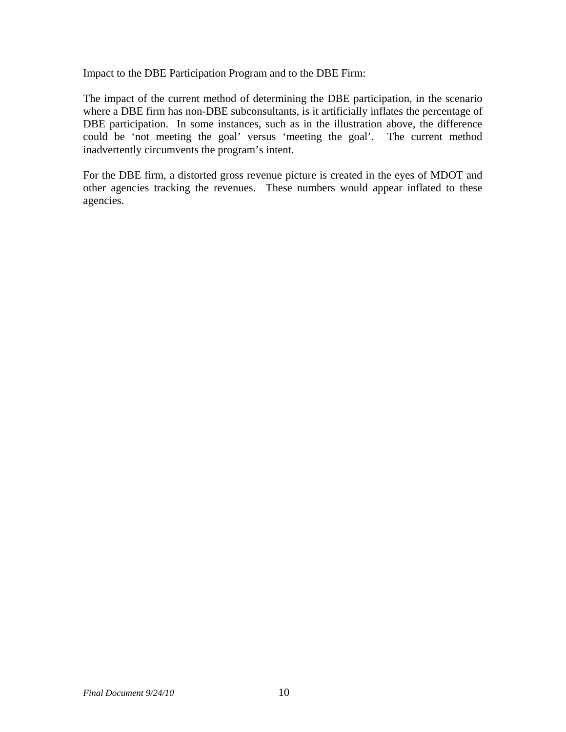Impact to the DBE Participation Program and to the DBE Firm:

The impact of the current method of determining the DBE participation, in the scenario where a DBE firm has non-DBE subconsultants, is it artificially inflates the percentage of DBE participation. In some instances, such as in the illustration above, the difference could be 'not meeting the goal' versus 'meeting the goal'. The current method inadvertently circumvents the program's intent.

For the DBE firm, a distorted gross revenue picture is created in the eyes of MDOT and other agencies tracking the revenues. These numbers would appear inflated to these agencies.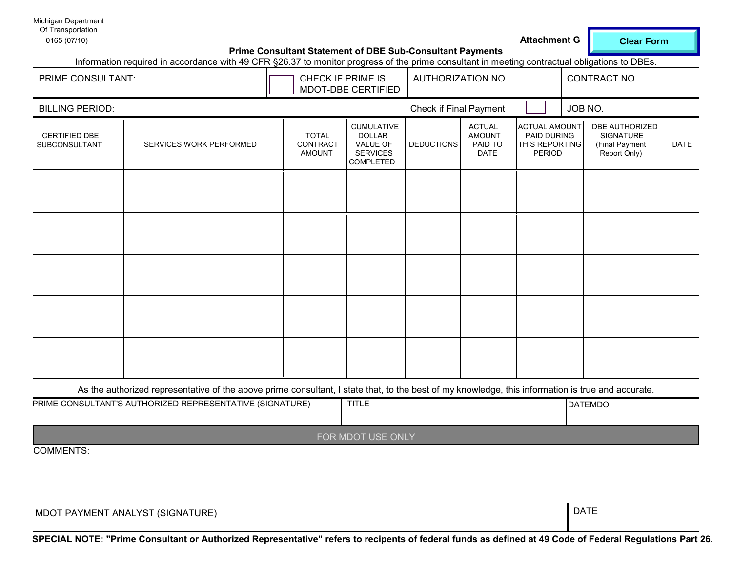**Clear Form**

DATE

| Michigan Department               |                                                                                                                                               |                                                                  |                                                                                |                        |                                                          |                                                                        |                                                                      |
|-----------------------------------|-----------------------------------------------------------------------------------------------------------------------------------------------|------------------------------------------------------------------|--------------------------------------------------------------------------------|------------------------|----------------------------------------------------------|------------------------------------------------------------------------|----------------------------------------------------------------------|
| Of Transportation<br>0165 (07/10) |                                                                                                                                               |                                                                  |                                                                                |                        |                                                          | <b>Attachment G</b>                                                    | <b>Clear Fo</b>                                                      |
|                                   | Information required in accordance with 49 CFR §26.37 to monitor progress of the prime consultant in meeting contractual obligations to DBEs. | <b>Prime Consultant Statement of DBE Sub-Consultant Payments</b> |                                                                                |                        |                                                          |                                                                        |                                                                      |
| PRIME CONSULTANT:                 |                                                                                                                                               |                                                                  | CHECK IF PRIME IS<br>MDOT-DBE CERTIFIED                                        | AUTHORIZATION NO.      |                                                          |                                                                        | CONTRACT NO.                                                         |
| <b>BILLING PERIOD:</b>            |                                                                                                                                               |                                                                  |                                                                                | Check if Final Payment |                                                          | JOB NO.                                                                |                                                                      |
| CERTIFIED DBE<br>SUBCONSULTANT    | SERVICES WORK PERFORMED                                                                                                                       | <b>TOTAL</b><br>CONTRACT<br><b>AMOUNT</b>                        | <b>CUMULATIVE</b><br><b>DOLLAR</b><br>VALUE OF<br><b>SERVICES</b><br>COMPLETED | <b>DEDUCTIONS</b>      | <b>ACTUAL</b><br><b>AMOUNT</b><br>PAID TO<br><b>DATE</b> | <b>ACTUAL AMOUNT</b><br>PAID DURING<br>THIS REPORTING<br><b>PERIOD</b> | <b>DBE AUTHORIZED</b><br>SIGNATURE<br>(Final Payment<br>Report Only) |
|                                   |                                                                                                                                               |                                                                  |                                                                                |                        |                                                          |                                                                        |                                                                      |
|                                   |                                                                                                                                               |                                                                  |                                                                                |                        |                                                          |                                                                        |                                                                      |
|                                   |                                                                                                                                               |                                                                  |                                                                                |                        |                                                          |                                                                        |                                                                      |
|                                   |                                                                                                                                               |                                                                  |                                                                                |                        |                                                          |                                                                        |                                                                      |
|                                   |                                                                                                                                               |                                                                  |                                                                                |                        |                                                          |                                                                        |                                                                      |

As the authorized representative of the above prime consultant, I state that, to the best of my knowledge, this information is true and accurate.

| PRIME CONSULTANT'S AUTHORIZED REPRESENTATIVE (SIGNATURE) | <b>TITLE</b>      | <b>DATEMDO</b> |
|----------------------------------------------------------|-------------------|----------------|
|                                                          | FOR MDOT USE ONLY |                |

COMMENTS:

| MDOT PAYMENT ANALYST (SIGNATURE) | <b>DATE</b><br>. נחרש |
|----------------------------------|-----------------------|
|                                  |                       |

**SPECIAL NOTE: "Prime Consultant or Authorized Representative" refers to recipents of federal funds as defined at 49 Code of Federal Regulations Part 26.**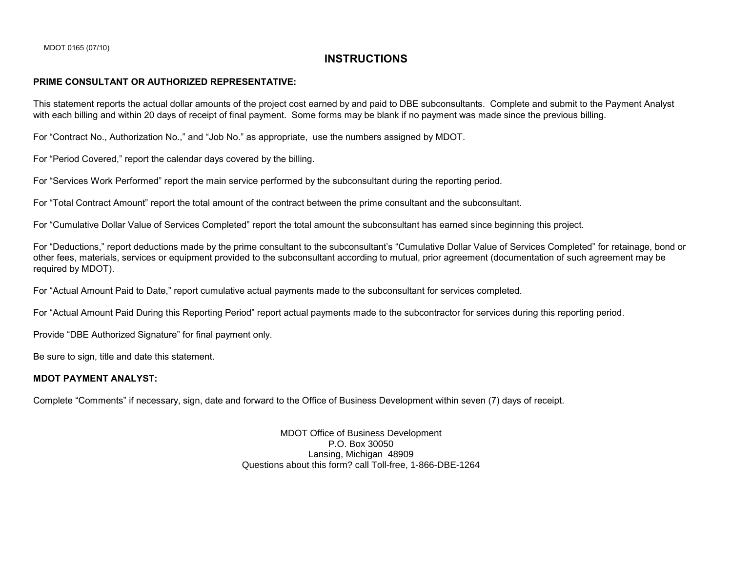### **INSTRUCTIONS**

#### **PRIME CONSULTANT OR AUTHORIZED REPRESENTATIVE:**

This statement reports the actual dollar amounts of the project cost earned by and paid to DBE subconsultants. Complete and submit to the Payment Analyst with each billing and within 20 days of receipt of final payment. Some forms may be blank if no payment was made since the previous billing.

For "Contract No., Authorization No.," and "Job No." as appropriate, use the numbers assigned by MDOT.

For "Period Covered," report the calendar days covered by the billing.

For "Services Work Performed" report the main service performed by the subconsultant during the reporting period.

For "Total Contract Amount" report the total amount of the contract between the prime consultant and the subconsultant.

For "Cumulative Dollar Value of Services Completed" report the total amount the subconsultant has earned since beginning this project.

For "Deductions," report deductions made by the prime consultant to the subconsultant's "Cumulative Dollar Value of Services Completed" for retainage, bond or other fees, materials, services or equipment provided to the subconsultant according to mutual, prior agreement (documentation of such agreement may be required by MDOT).

For "Actual Amount Paid to Date," report cumulative actual payments made to the subconsultant for services completed.

For "Actual Amount Paid During this Reporting Period" report actual payments made to the subcontractor for services during this reporting period.

Provide "DBE Authorized Signature" for final payment only.

Be sure to sign, title and date this statement.

### **MDOT PAYMENT ANALYST:**

Complete "Comments" if necessary, sign, date and forward to the Office of Business Development within seven (7) days of receipt.

MDOT Office of Business Development P.O. Box 30050 Lansing, Michigan 48909 Questions about this form? call Toll-free, 1-866-DBE-1264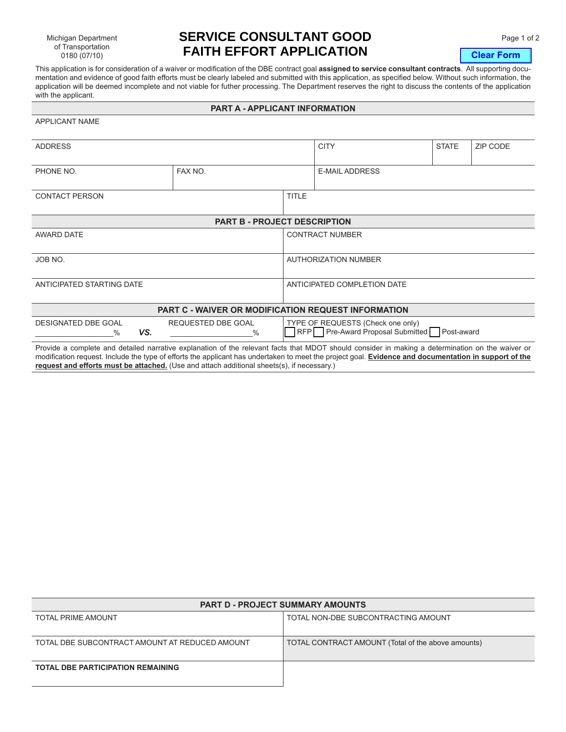Michigan Department of Transportation 0180 (07/10)

APPLICANT NAME

# **SERVICE CONSULTANT GOOD** Page 1 of 2 **FAITH EFFORT APPLICATION**

**Clear Form**

This application is for consideration of a waiver or modification of the DBE contract goal **assigned to service consultant contracts**. All supporting documentation and evidence of good faith efforts must be clearly labeled and submitted with this application, as specified below. Without such information, the application will be deemed incomplete and not viable for futher processing. The Department reserves the right to discuss the contents of the application with the applicant.

#### **PART A - APPLICANT INFORMATION**

| <b>ADDRESS</b>                                                                                                                                                                                                                                                                                            |                            |                                                                                  | <b>CITY</b>                 | <b>STATE</b> | ZIP CODE |  |  |
|-----------------------------------------------------------------------------------------------------------------------------------------------------------------------------------------------------------------------------------------------------------------------------------------------------------|----------------------------|----------------------------------------------------------------------------------|-----------------------------|--------------|----------|--|--|
| PHONE NO.                                                                                                                                                                                                                                                                                                 | FAX NO.                    |                                                                                  | <b>E-MAIL ADDRESS</b>       |              |          |  |  |
| <b>CONTACT PERSON</b>                                                                                                                                                                                                                                                                                     |                            | <b>TITLE</b>                                                                     |                             |              |          |  |  |
| <b>PART B - PROJECT DESCRIPTION</b>                                                                                                                                                                                                                                                                       |                            |                                                                                  |                             |              |          |  |  |
| AWARD DATE                                                                                                                                                                                                                                                                                                |                            | <b>CONTRACT NUMBER</b>                                                           |                             |              |          |  |  |
| JOB NO.                                                                                                                                                                                                                                                                                                   |                            |                                                                                  | <b>AUTHORIZATION NUMBER</b> |              |          |  |  |
| ANTICIPATED STARTING DATE                                                                                                                                                                                                                                                                                 |                            |                                                                                  | ANTICIPATED COMPLETION DATE |              |          |  |  |
| PART C - WAIVER OR MODIFICATION REQUEST INFORMATION                                                                                                                                                                                                                                                       |                            |                                                                                  |                             |              |          |  |  |
| <b>DESIGNATED DBE GOAL</b><br>VS.<br>$\%$                                                                                                                                                                                                                                                                 | REQUESTED DBE GOAL<br>$\%$ | TYPE OF REQUESTS (Check one only)<br>RFP Pre-Award Proposal Submitted Post-award |                             |              |          |  |  |
| Provide a complete and detailed narrative explanation of the relevant facts that MDOT should consider in making a determination on the waiver or<br>modification request. Include the type of efforts the applicant has undertaken to meet the project goal. Evidence and documentation in support of the |                            |                                                                                  |                             |              |          |  |  |

**request and efforts must be attached.** (Use and attach additional sheets(s), if necessary.)

|                                                | <b>PART D - PROJECT SUMMARY AMOUNTS</b>            |
|------------------------------------------------|----------------------------------------------------|
| <b>TOTAL PRIME AMOUNT</b>                      | TOTAL NON-DBE SUBCONTRACTING AMOUNT                |
|                                                |                                                    |
| TOTAL DBE SUBCONTRACT AMOUNT AT REDUCED AMOUNT | TOTAL CONTRACT AMOUNT (Total of the above amounts) |
| <b>TOTAL DBE PARTICIPATION REMAINING</b>       |                                                    |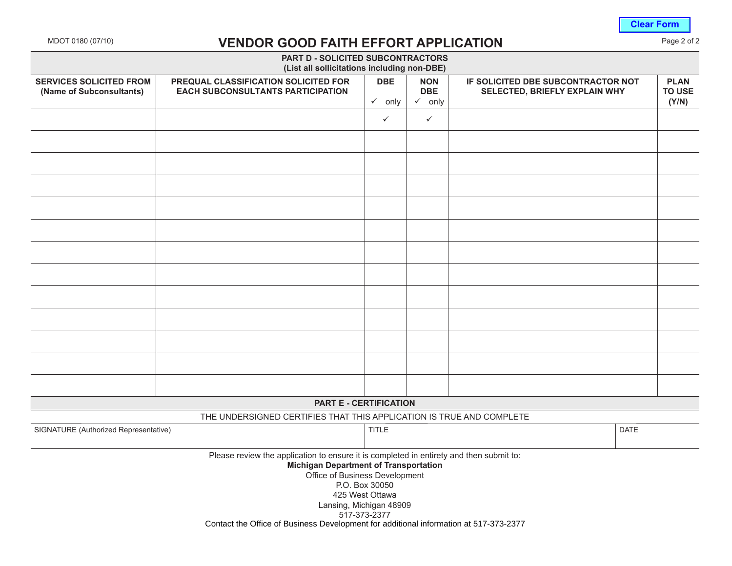**Clear Form**

# MDOT 0180 (07/10) **VENDOR GOOD FAITH EFFORT APPLICATION** Page 2 of 2

|                                                            | <b>PART D - SOLICITED SUBCONTRACTORS</b><br>(List all sollicitations including non-DBE)                                                                                                              |                                   |                          |                                                                     |                       |
|------------------------------------------------------------|------------------------------------------------------------------------------------------------------------------------------------------------------------------------------------------------------|-----------------------------------|--------------------------|---------------------------------------------------------------------|-----------------------|
| <b>SERVICES SOLICITED FROM</b><br>(Name of Subconsultants) | PREQUAL CLASSIFICATION SOLICITED FOR<br><b>EACH SUBCONSULTANTS PARTICIPATION</b>                                                                                                                     | <b>DBE</b>                        | <b>NON</b><br><b>DBE</b> | IF SOLICITED DBE SUBCONTRACTOR NOT<br>SELECTED, BRIEFLY EXPLAIN WHY | <b>PLAN</b><br>TO USE |
|                                                            |                                                                                                                                                                                                      | $\checkmark$ only                 | $\checkmark$ only        |                                                                     | (Y/N)                 |
|                                                            |                                                                                                                                                                                                      | $\checkmark$                      | $\checkmark$             |                                                                     |                       |
|                                                            |                                                                                                                                                                                                      |                                   |                          |                                                                     |                       |
|                                                            |                                                                                                                                                                                                      |                                   |                          |                                                                     |                       |
|                                                            |                                                                                                                                                                                                      |                                   |                          |                                                                     |                       |
|                                                            |                                                                                                                                                                                                      |                                   |                          |                                                                     |                       |
|                                                            |                                                                                                                                                                                                      |                                   |                          |                                                                     |                       |
|                                                            |                                                                                                                                                                                                      |                                   |                          |                                                                     |                       |
|                                                            |                                                                                                                                                                                                      |                                   |                          |                                                                     |                       |
|                                                            |                                                                                                                                                                                                      |                                   |                          |                                                                     |                       |
|                                                            |                                                                                                                                                                                                      |                                   |                          |                                                                     |                       |
|                                                            |                                                                                                                                                                                                      |                                   |                          |                                                                     |                       |
|                                                            |                                                                                                                                                                                                      |                                   |                          |                                                                     |                       |
|                                                            |                                                                                                                                                                                                      |                                   |                          |                                                                     |                       |
|                                                            | <b>PART E - CERTIFICATION</b>                                                                                                                                                                        |                                   |                          |                                                                     |                       |
|                                                            | THE UNDERSIGNED CERTIFIES THAT THIS APPLICATION IS TRUE AND COMPLETE                                                                                                                                 |                                   |                          |                                                                     |                       |
| SIGNATURE (Authorized Representative)                      |                                                                                                                                                                                                      | <b>TITLE</b>                      |                          |                                                                     | <b>DATE</b>           |
|                                                            | Please review the application to ensure it is completed in entirety and then submit to:<br><b>Michigan Department of Transportation</b><br>Office of Business Development<br>Lansing, Michigan 48909 | P.O. Box 30050<br>425 West Ottawa |                          |                                                                     |                       |
|                                                            | Contact the Office of Business Development for additional information at 517-373-2377                                                                                                                | 517-373-2377                      |                          |                                                                     |                       |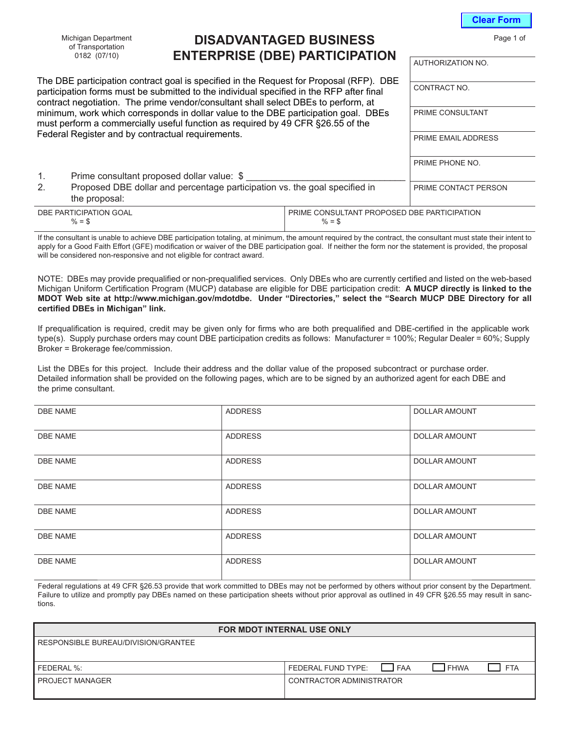Michigan Department of Transportation 0182 (07/10)

# **DISADVANTAGED BUSINESS ENTERPRISE (DBE) PARTICIPATION**

|                                                                                                               | The DBE participation contract goal is specified in the Request for Proposal (RFP). DBE<br>participation forms must be submitted to the individual specified in the RFP after final<br>contract negotiation. The prime vendor/consultant shall select DBEs to perform, at | CONTRACT NO.                                            |                            |
|---------------------------------------------------------------------------------------------------------------|---------------------------------------------------------------------------------------------------------------------------------------------------------------------------------------------------------------------------------------------------------------------------|---------------------------------------------------------|----------------------------|
|                                                                                                               | minimum, work which corresponds in dollar value to the DBE participation goal. DBEs<br>must perform a commercially useful function as required by 49 CFR §26.55 of the                                                                                                    | PRIME CONSULTANT                                        |                            |
|                                                                                                               | Federal Register and by contractual requirements.                                                                                                                                                                                                                         |                                                         | <b>PRIME EMAIL ADDRESS</b> |
|                                                                                                               |                                                                                                                                                                                                                                                                           |                                                         | PRIME PHONE NO.            |
| 1.                                                                                                            | Prime consultant proposed dollar value: \$                                                                                                                                                                                                                                |                                                         |                            |
| Proposed DBE dollar and percentage participation vs. the goal specified in<br>2 <sub>1</sub><br>the proposal: |                                                                                                                                                                                                                                                                           |                                                         | PRIME CONTACT PERSON       |
|                                                                                                               | DBE PARTICIPATION GOAL<br>$% =$ \$                                                                                                                                                                                                                                        | PRIME CONSULTANT PROPOSED DBE PARTICIPATION<br>$% =$ \$ |                            |

If the consultant is unable to achieve DBE participation totaling, at minimum, the amount required by the contract, the consultant must state their intent to apply for a Good Faith Effort (GFE) modification or waiver of the DBE participation goal. If neither the form nor the statement is provided, the proposal will be considered non-responsive and not eligible for contract award.

NOTE: DBEs may provide prequalified or non-prequalified services. Only DBEs who are currently certified and listed on the web-based Michigan Uniform Certification Program (MUCP) database are eligible for DBE participation credit: **A MUCP directly is linked to the MDOT Web site at http://www.michigan.gov/mdotdbe. Under "Directories," select the "Search MUCP DBE Directory for all certified DBEs in Michigan" link.**

If prequalification is required, credit may be given only for firms who are both prequalified and DBE-certified in the applicable work type(s). Supply purchase orders may count DBE participation credits as follows: Manufacturer = 100%; Regular Dealer = 60%; Supply Broker = Brokerage fee/commission.

List the DBEs for this project. Include their address and the dollar value of the proposed subcontract or purchase order. Detailed information shall be provided on the following pages, which are to be signed by an authorized agent for each DBE and the prime consultant.

| <b>DBE NAME</b> | <b>ADDRESS</b> | <b>DOLLAR AMOUNT</b> |
|-----------------|----------------|----------------------|
| <b>DBE NAME</b> | <b>ADDRESS</b> | DOLLAR AMOUNT        |
| <b>DBE NAME</b> | <b>ADDRESS</b> | DOLLAR AMOUNT        |
| <b>DBE NAME</b> | <b>ADDRESS</b> | <b>DOLLAR AMOUNT</b> |
| <b>DBE NAME</b> | <b>ADDRESS</b> | DOLLAR AMOUNT        |
| <b>DBE NAME</b> | <b>ADDRESS</b> | <b>DOLLAR AMOUNT</b> |
| <b>DBE NAME</b> | <b>ADDRESS</b> | <b>DOLLAR AMOUNT</b> |

Federal regulations at 49 CFR §26.53 provide that work committed to DBEs may not be performed by others without prior consent by the Department. Failure to utilize and promptly pay DBEs named on these participation sheets without prior approval as outlined in 49 CFR §26.55 may result in sanctions.

| FOR MDOT INTERNAL USE ONLY          |                           |            |             |            |
|-------------------------------------|---------------------------|------------|-------------|------------|
| RESPONSIBLE BUREAU/DIVISION/GRANTEE |                           |            |             |            |
|                                     |                           |            |             |            |
| FEDERAL %:                          | <b>FEDERAL FUND TYPE:</b> | <b>FAA</b> | <b>FHWA</b> | <b>FTA</b> |
| <b>PROJECT MANAGER</b>              | CONTRACTOR ADMINISTRATOR  |            |             |            |
|                                     |                           |            |             |            |

Page 1 of

**Clear Form**

AUTHORIZATION NO.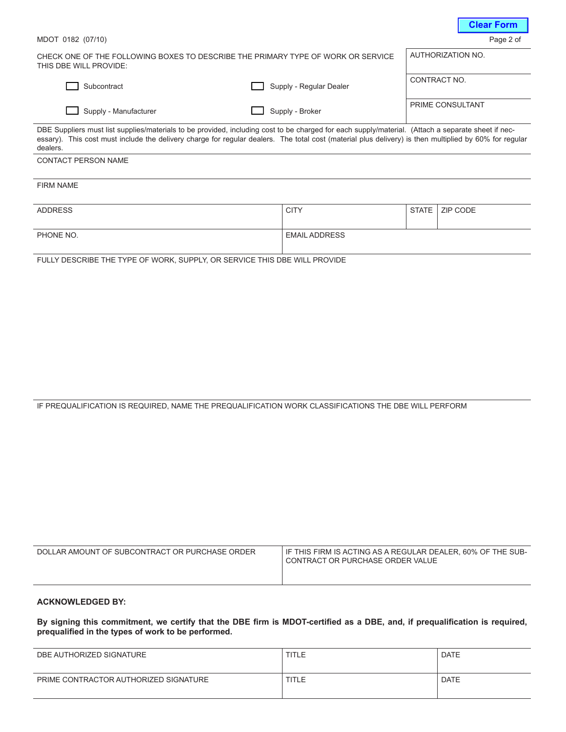|                                                                                                                                                                                                                                                                                                                          |                         |              | <b>VIGAL L'ULLIL</b> |
|--------------------------------------------------------------------------------------------------------------------------------------------------------------------------------------------------------------------------------------------------------------------------------------------------------------------------|-------------------------|--------------|----------------------|
| MDOT 0182 (07/10)                                                                                                                                                                                                                                                                                                        |                         |              | Page 2 of            |
| CHECK ONE OF THE FOLLOWING BOXES TO DESCRIBE THE PRIMARY TYPE OF WORK OR SERVICE<br>THIS DBE WILL PROVIDE:                                                                                                                                                                                                               |                         |              | AUTHORIZATION NO.    |
| Subcontract                                                                                                                                                                                                                                                                                                              | Supply - Regular Dealer | CONTRACT NO. |                      |
| Supply - Manufacturer                                                                                                                                                                                                                                                                                                    | Supply - Broker         |              | PRIME CONSULTANT     |
| DBE Suppliers must list supplies/materials to be provided, including cost to be charged for each supply/material. (Attach a separate sheet if nec-<br>essary). This cost must include the delivery charge for regular dealers. The total cost (material plus delivery) is then multiplied by 60% for regular<br>dealers. |                         |              |                      |
| <b>CONTACT PERSON NAME</b>                                                                                                                                                                                                                                                                                               |                         |              |                      |
| <b>FIRM NAME</b>                                                                                                                                                                                                                                                                                                         |                         |              |                      |
| <b>ADDRESS</b>                                                                                                                                                                                                                                                                                                           | <b>CITY</b>             | <b>STATE</b> | ZIP CODE             |
| PHONE NO.                                                                                                                                                                                                                                                                                                                | <b>EMAIL ADDRESS</b>    |              |                      |

**Clear Form**

FULLY DESCRIBE THE TYPE OF WORK, SUPPLY, OR SERVICE THIS DBE WILL PROVIDE

IF PREQUALIFICATION IS REQUIRED, NAME THE PREQUALIFICATION WORK CLASSIFICATIONS THE DBE WILL PERFORM

| DOLLAR AMOUNT OF SUBCONTRACT OR PURCHASE ORDER | IF THIS FIRM IS ACTING AS A REGULAR DEALER, 60% OF THE SUB-<br>CONTRACT OR PURCHASE ORDER VALUE |
|------------------------------------------------|-------------------------------------------------------------------------------------------------|
|                                                |                                                                                                 |

### **ACKNOWLEDGED BY:**

**By signing this commitment, we certify that the DBE firm is MDOT-certified as a DBE, and, if prequalification is required, prequalified in the types of work to be performed.**

| DBE AUTHORIZED SIGNATURE              | <b>TITLE</b> | <b>DATE</b> |
|---------------------------------------|--------------|-------------|
| PRIME CONTRACTOR AUTHORIZED SIGNATURE | <b>TITLE</b> | <b>DATE</b> |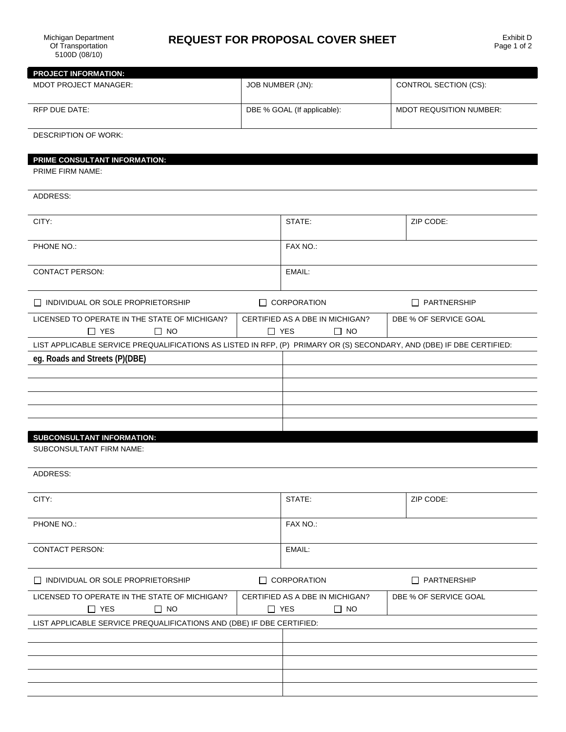# **REQUEST FOR PROPOSAL COVER SHEET**

| <b>PROJECT INFORMATION:</b>                                                                                           |                                                                                     |                                                            |                                |  |
|-----------------------------------------------------------------------------------------------------------------------|-------------------------------------------------------------------------------------|------------------------------------------------------------|--------------------------------|--|
| <b>MDOT PROJECT MANAGER:</b>                                                                                          | JOB NUMBER (JN):                                                                    |                                                            | CONTROL SECTION (CS):          |  |
| RFP DUE DATE:                                                                                                         | DBE % GOAL (If applicable):                                                         |                                                            | <b>MDOT REQUSITION NUMBER:</b> |  |
| <b>DESCRIPTION OF WORK:</b>                                                                                           |                                                                                     |                                                            |                                |  |
| PRIME CONSULTANT INFORMATION:                                                                                         |                                                                                     |                                                            |                                |  |
| PRIME FIRM NAME:                                                                                                      |                                                                                     |                                                            |                                |  |
| ADDRESS:                                                                                                              |                                                                                     |                                                            |                                |  |
| CITY:                                                                                                                 |                                                                                     | STATE:                                                     | ZIP CODE:                      |  |
| PHONE NO.:                                                                                                            |                                                                                     | FAX NO.:                                                   |                                |  |
| <b>CONTACT PERSON:</b>                                                                                                |                                                                                     | EMAIL:                                                     |                                |  |
| $\Box$ INDIVIDUAL OR SOLE PROPRIETORSHIP                                                                              |                                                                                     | $\Box$ CORPORATION                                         | $\Box$ PARTNERSHIP             |  |
| LICENSED TO OPERATE IN THE STATE OF MICHIGAN?<br>$\Box$ YES<br>$\Box$ NO                                              |                                                                                     | CERTIFIED AS A DBE IN MICHIGAN?<br>$\Box$ NO<br>$\Box$ YES | DBE % OF SERVICE GOAL          |  |
| LIST APPLICABLE SERVICE PREQUALIFICATIONS AS LISTED IN RFP, (P) PRIMARY OR (S) SECONDARY, AND (DBE) IF DBE CERTIFIED: |                                                                                     |                                                            |                                |  |
| eg. Roads and Streets (P)(DBE)                                                                                        |                                                                                     |                                                            |                                |  |
|                                                                                                                       |                                                                                     |                                                            |                                |  |
|                                                                                                                       |                                                                                     |                                                            |                                |  |
|                                                                                                                       |                                                                                     |                                                            |                                |  |
|                                                                                                                       |                                                                                     |                                                            |                                |  |
|                                                                                                                       |                                                                                     |                                                            |                                |  |
| <b>SUBCONSULTANT INFORMATION:</b><br>SUBCONSULTANT FIRM NAME:                                                         |                                                                                     |                                                            |                                |  |
| ADDRESS:                                                                                                              |                                                                                     |                                                            |                                |  |
| CITY:                                                                                                                 |                                                                                     | STATE:                                                     | ZIP CODE:                      |  |
| PHONE NO.:                                                                                                            |                                                                                     | FAX NO.:                                                   |                                |  |
| <b>CONTACT PERSON:</b>                                                                                                |                                                                                     | EMAIL:                                                     |                                |  |
| $\Box$ INDIVIDUAL OR SOLE PROPRIETORSHIP                                                                              |                                                                                     | $\Box$ CORPORATION                                         | $\Box$ PARTNERSHIP             |  |
| LICENSED TO OPERATE IN THE STATE OF MICHIGAN?<br>$\Box$ YES<br>$\Box$ NO                                              | CERTIFIED AS A DBE IN MICHIGAN?<br>DBE % OF SERVICE GOAL<br>$\Box$ YES<br>$\Box$ NO |                                                            |                                |  |
| LIST APPLICABLE SERVICE PREQUALIFICATIONS AND (DBE) IF DBE CERTIFIED:                                                 |                                                                                     |                                                            |                                |  |
|                                                                                                                       |                                                                                     |                                                            |                                |  |
|                                                                                                                       |                                                                                     |                                                            |                                |  |
|                                                                                                                       |                                                                                     |                                                            |                                |  |
|                                                                                                                       |                                                                                     |                                                            |                                |  |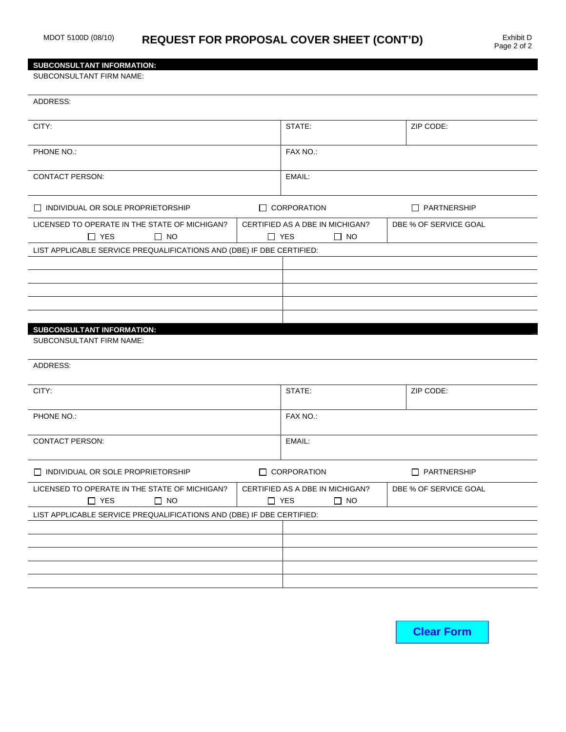### **SUBCONSULTANT INFORMATION:**

SUBCONSULTANT FIRM NAME:

| ADDRESS:                                                                 |                                 |                                              |                       |
|--------------------------------------------------------------------------|---------------------------------|----------------------------------------------|-----------------------|
| CITY:                                                                    |                                 | STATE:                                       | ZIP CODE:             |
| PHONE NO.:                                                               |                                 | FAX NO.:                                     |                       |
| <b>CONTACT PERSON:</b>                                                   |                                 | EMAIL:                                       |                       |
| $\Box$ INDIVIDUAL OR SOLE PROPRIETORSHIP                                 |                                 | $\Box$ CORPORATION                           | $\Box$ PARTNERSHIP    |
| LICENSED TO OPERATE IN THE STATE OF MICHIGAN?<br>$\Box$ YES<br>$\Box$ NO | $\Box$ YES                      | CERTIFIED AS A DBE IN MICHIGAN?<br>$\Box$ NO | DBE % OF SERVICE GOAL |
| LIST APPLICABLE SERVICE PREQUALIFICATIONS AND (DBE) IF DBE CERTIFIED:    |                                 |                                              |                       |
|                                                                          |                                 |                                              |                       |
|                                                                          |                                 |                                              |                       |
|                                                                          |                                 |                                              |                       |
|                                                                          |                                 |                                              |                       |
| SUBCONSULTANT INFORMATION:                                               |                                 |                                              |                       |
| SUBCONSULTANT FIRM NAME:                                                 |                                 |                                              |                       |
| ADDRESS:                                                                 |                                 |                                              |                       |
| CITY:                                                                    |                                 | STATE:                                       | ZIP CODE:             |
| PHONE NO.:                                                               |                                 | FAX NO.:                                     |                       |
| <b>CONTACT PERSON:</b>                                                   |                                 | EMAIL:                                       |                       |
| $\Box$ INDIVIDUAL OR SOLE PROPRIETORSHIP                                 |                                 | $\Box$ CORPORATION                           | <b>D</b> PARTNERSHIP  |
| LICENSED TO OPERATE IN THE STATE OF MICHIGAN?                            | CERTIFIED AS A DBE IN MICHIGAN? |                                              | DBE % OF SERVICE GOAL |
| $\Box$ YES<br>$\square$ NO                                               | $\Box$ YES<br>$\Box$ NO         |                                              |                       |
| LIST APPLICABLE SERVICE PREQUALIFICATIONS AND (DBE) IF DBE CERTIFIED:    |                                 |                                              |                       |
|                                                                          |                                 |                                              |                       |
|                                                                          |                                 |                                              |                       |
|                                                                          |                                 |                                              |                       |
|                                                                          |                                 |                                              |                       |
|                                                                          |                                 |                                              |                       |

**Clear Form**